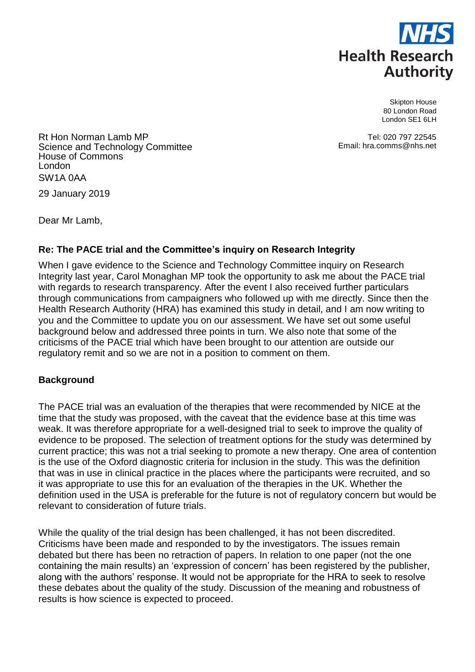

Skipton House 80 London Road London SE1 6LH

Tel: 020 797 22545 Email: hra.comms@nhs.net

Rt Hon Norman Lamb MP Science and Technology Committee House of Commons London SW1A 0AA

29 January 2019

Dear Mr Lamb,

# **Re: The PACE trial and the Committee's inquiry on Research Integrity**

When I gave evidence to the Science and Technology Committee inquiry on Research Integrity last year, Carol Monaghan MP took the opportunity to ask me about the PACE trial with regards to research transparency. After the event I also received further particulars through communications from campaigners who followed up with me directly. Since then the Health Research Authority (HRA) has examined this study in detail, and I am now writing to you and the Committee to update you on our assessment. We have set out some useful background below and addressed three points in turn. We also note that some of the criticisms of the PACE trial which have been brought to our attention are outside our regulatory remit and so we are not in a position to comment on them.

## **Background**

The PACE trial was an evaluation of the therapies that were recommended by NICE at the time that the study was proposed, with the caveat that the evidence base at this time was weak. It was therefore appropriate for a well-designed trial to seek to improve the quality of evidence to be proposed. The selection of treatment options for the study was determined by current practice; this was not a trial seeking to promote a new therapy. One area of contention is the use of the Oxford diagnostic criteria for inclusion in the study. This was the definition that was in use in clinical practice in the places where the participants were recruited, and so it was appropriate to use this for an evaluation of the therapies in the UK. Whether the definition used in the USA is preferable for the future is not of regulatory concern but would be relevant to consideration of future trials.

While the quality of the trial design has been challenged, it has not been discredited. Criticisms have been made and responded to by the investigators. The issues remain debated but there has been no retraction of papers. In relation to one paper (not the one containing the main results) an 'expression of concern' has been registered by the publisher, along with the authors' response. It would not be appropriate for the HRA to seek to resolve these debates about the quality of the study. Discussion of the meaning and robustness of results is how science is expected to proceed.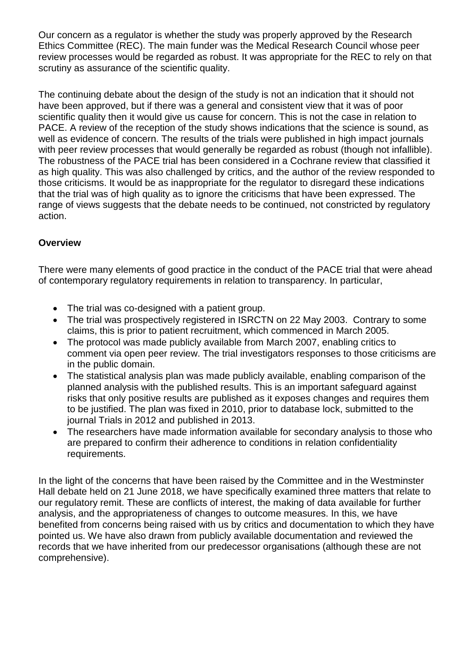Our concern as a regulator is whether the study was properly approved by the Research Ethics Committee (REC). The main funder was the Medical Research Council whose peer review processes would be regarded as robust. It was appropriate for the REC to rely on that scrutiny as assurance of the scientific quality.

The continuing debate about the design of the study is not an indication that it should not have been approved, but if there was a general and consistent view that it was of poor scientific quality then it would give us cause for concern. This is not the case in relation to PACE. A review of the reception of the study shows indications that the science is sound, as well as evidence of concern. The results of the trials were published in high impact journals with peer review processes that would generally be regarded as robust (though not infallible). The robustness of the PACE trial has been considered in a Cochrane review that classified it as high quality. This was also challenged by critics, and the author of the review responded to those criticisms. It would be as inappropriate for the regulator to disregard these indications that the trial was of high quality as to ignore the criticisms that have been expressed. The range of views suggests that the debate needs to be continued, not constricted by regulatory action.

## **Overview**

There were many elements of good practice in the conduct of the PACE trial that were ahead of contemporary regulatory requirements in relation to transparency. In particular,

- The trial was co-designed with a patient group.
- The trial was prospectively registered in ISRCTN on 22 May 2003. Contrary to some claims, this is prior to patient recruitment, which commenced in March 2005.
- The protocol was made publicly available from March 2007, enabling critics to comment via open peer review. The trial investigators responses to those criticisms are in the public domain.
- The statistical analysis plan was made publicly available, enabling comparison of the planned analysis with the published results. This is an important safeguard against risks that only positive results are published as it exposes changes and requires them to be justified. The plan was fixed in 2010, prior to database lock, submitted to the journal Trials in 2012 and published in 2013.
- The researchers have made information available for secondary analysis to those who are prepared to confirm their adherence to conditions in relation confidentiality requirements.

In the light of the concerns that have been raised by the Committee and in the Westminster Hall debate held on 21 June 2018, we have specifically examined three matters that relate to our regulatory remit. These are conflicts of interest, the making of data available for further analysis, and the appropriateness of changes to outcome measures. In this, we have benefited from concerns being raised with us by critics and documentation to which they have pointed us. We have also drawn from publicly available documentation and reviewed the records that we have inherited from our predecessor organisations (although these are not comprehensive).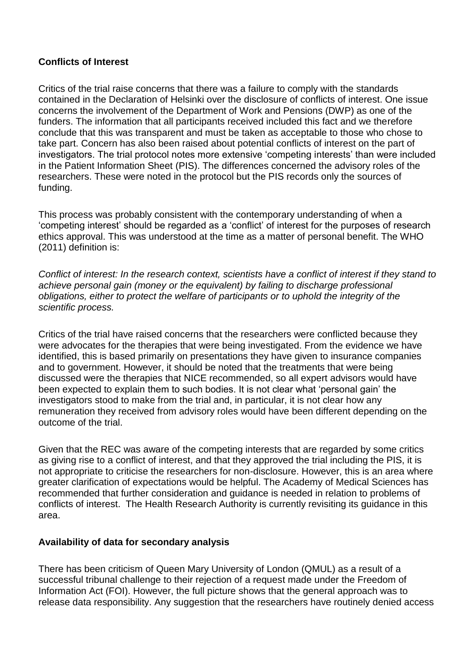### **Conflicts of Interest**

Critics of the trial raise concerns that there was a failure to comply with the standards contained in the Declaration of Helsinki over the disclosure of conflicts of interest. One issue concerns the involvement of the Department of Work and Pensions (DWP) as one of the funders. The information that all participants received included this fact and we therefore conclude that this was transparent and must be taken as acceptable to those who chose to take part. Concern has also been raised about potential conflicts of interest on the part of investigators. The trial protocol notes more extensive 'competing interests' than were included in the Patient Information Sheet (PIS). The differences concerned the advisory roles of the researchers. These were noted in the protocol but the PIS records only the sources of funding.

This process was probably consistent with the contemporary understanding of when a 'competing interest' should be regarded as a 'conflict' of interest for the purposes of research ethics approval. This was understood at the time as a matter of personal benefit. The WHO (2011) definition is:

*Conflict of interest: In the research context, scientists have a conflict of interest if they stand to achieve personal gain (money or the equivalent) by failing to discharge professional obligations, either to protect the welfare of participants or to uphold the integrity of the scientific process.*

Critics of the trial have raised concerns that the researchers were conflicted because they were advocates for the therapies that were being investigated. From the evidence we have identified, this is based primarily on presentations they have given to insurance companies and to government. However, it should be noted that the treatments that were being discussed were the therapies that NICE recommended, so all expert advisors would have been expected to explain them to such bodies. It is not clear what 'personal gain' the investigators stood to make from the trial and, in particular, it is not clear how any remuneration they received from advisory roles would have been different depending on the outcome of the trial.

Given that the REC was aware of the competing interests that are regarded by some critics as giving rise to a conflict of interest, and that they approved the trial including the PIS, it is not appropriate to criticise the researchers for non-disclosure. However, this is an area where greater clarification of expectations would be helpful. The Academy of Medical Sciences has recommended that further consideration and guidance is needed in relation to problems of conflicts of interest. The Health Research Authority is currently revisiting its guidance in this area.

## **Availability of data for secondary analysis**

There has been criticism of Queen Mary University of London (QMUL) as a result of a successful tribunal challenge to their rejection of a request made under the Freedom of Information Act (FOI). However, the full picture shows that the general approach was to release data responsibility. Any suggestion that the researchers have routinely denied access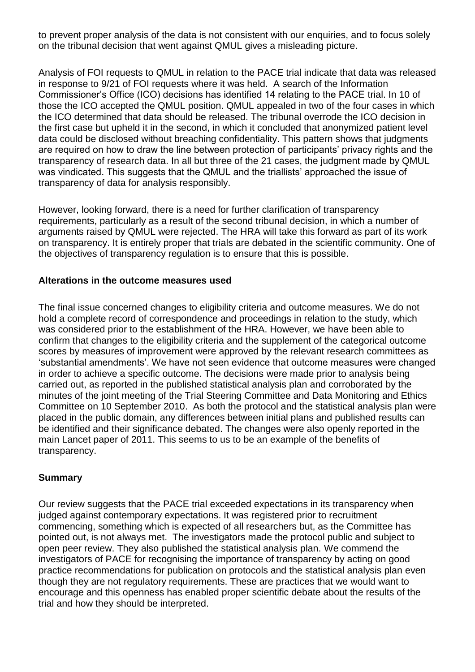to prevent proper analysis of the data is not consistent with our enquiries, and to focus solely on the tribunal decision that went against QMUL gives a misleading picture.

Analysis of FOI requests to QMUL in relation to the PACE trial indicate that data was released in response to 9/21 of FOI requests where it was held. A search of the Information Commissioner's Office (ICO) decisions has identified 14 relating to the PACE trial. In 10 of those the ICO accepted the QMUL position. QMUL appealed in two of the four cases in which the ICO determined that data should be released. The tribunal overrode the ICO decision in the first case but upheld it in the second, in which it concluded that anonymized patient level data could be disclosed without breaching confidentiality. This pattern shows that judgments are required on how to draw the line between protection of participants' privacy rights and the transparency of research data. In all but three of the 21 cases, the judgment made by QMUL was vindicated. This suggests that the QMUL and the triallists' approached the issue of transparency of data for analysis responsibly.

However, looking forward, there is a need for further clarification of transparency requirements, particularly as a result of the second tribunal decision, in which a number of arguments raised by QMUL were rejected. The HRA will take this forward as part of its work on transparency. It is entirely proper that trials are debated in the scientific community. One of the objectives of transparency regulation is to ensure that this is possible.

#### **Alterations in the outcome measures used**

The final issue concerned changes to eligibility criteria and outcome measures. We do not hold a complete record of correspondence and proceedings in relation to the study, which was considered prior to the establishment of the HRA. However, we have been able to confirm that changes to the eligibility criteria and the supplement of the categorical outcome scores by measures of improvement were approved by the relevant research committees as 'substantial amendments'. We have not seen evidence that outcome measures were changed in order to achieve a specific outcome. The decisions were made prior to analysis being carried out, as reported in the published statistical analysis plan and corroborated by the minutes of the joint meeting of the Trial Steering Committee and Data Monitoring and Ethics Committee on 10 September 2010. As both the protocol and the statistical analysis plan were placed in the public domain, any differences between initial plans and published results can be identified and their significance debated. The changes were also openly reported in the main Lancet paper of 2011. This seems to us to be an example of the benefits of transparency.

## **Summary**

Our review suggests that the PACE trial exceeded expectations in its transparency when judged against contemporary expectations. It was registered prior to recruitment commencing, something which is expected of all researchers but, as the Committee has pointed out, is not always met. The investigators made the protocol public and subject to open peer review. They also published the statistical analysis plan. We commend the investigators of PACE for recognising the importance of transparency by acting on good practice recommendations for publication on protocols and the statistical analysis plan even though they are not regulatory requirements. These are practices that we would want to encourage and this openness has enabled proper scientific debate about the results of the trial and how they should be interpreted.